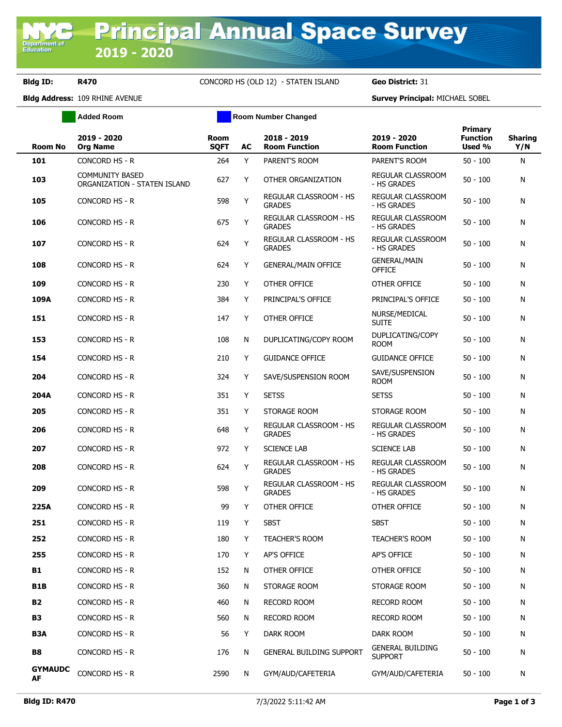## **Bldg ID: R470** CONCORD HS (OLD 12) - STATEN ISLAND **Geo District:** 31

**Added Room Room Room Number Changed** 

**Bldg Address:** 109 RHINE AVENUE **Survey Principal:** MICHAEL SOBEL

|                      |                                                        |                            |    |                                                |                                           | <b>Primary</b>            |                       |
|----------------------|--------------------------------------------------------|----------------------------|----|------------------------------------------------|-------------------------------------------|---------------------------|-----------------------|
| <b>Room No</b>       | 2019 - 2020<br><b>Org Name</b>                         | <b>Room</b><br><b>SQFT</b> | AC | 2018 - 2019<br><b>Room Function</b>            | 2019 - 2020<br><b>Room Function</b>       | <b>Function</b><br>Used % | <b>Sharing</b><br>Y/N |
| 101                  | CONCORD HS - R                                         | 264                        | Y  | PARENT'S ROOM                                  | PARENT'S ROOM                             | $50 - 100$                | N                     |
| 103                  | <b>COMMUNITY BASED</b><br>ORGANIZATION - STATEN ISLAND | 627                        | Y  | OTHER ORGANIZATION                             | REGULAR CLASSROOM<br>- HS GRADES          | $50 - 100$                | N                     |
| 105                  | CONCORD HS - R                                         | 598                        | Y  | REGULAR CLASSROOM - HS<br><b>GRADES</b>        | REGULAR CLASSROOM<br>- HS GRADES          | $50 - 100$                | N                     |
| 106                  | <b>CONCORD HS - R</b>                                  | 675                        | Y  | <b>REGULAR CLASSROOM - HS</b><br><b>GRADES</b> | REGULAR CLASSROOM<br>- HS GRADES          | $50 - 100$                | N                     |
| 107                  | CONCORD HS - R                                         | 624                        | Y  | REGULAR CLASSROOM - HS<br><b>GRADES</b>        | <b>REGULAR CLASSROOM</b><br>- HS GRADES   | $50 - 100$                | N                     |
| 108                  | CONCORD HS - R                                         | 624                        | Y  | <b>GENERAL/MAIN OFFICE</b>                     | <b>GENERAL/MAIN</b><br><b>OFFICE</b>      | $50 - 100$                | N                     |
| 109                  | CONCORD HS - R                                         | 230                        | Y  | OTHER OFFICE                                   | OTHER OFFICE                              | $50 - 100$                | N                     |
| 109A                 | CONCORD HS - R                                         | 384                        | Y  | PRINCIPAL'S OFFICE                             | PRINCIPAL'S OFFICE                        | $50 - 100$                | N                     |
| 151                  | CONCORD HS - R                                         | 147                        | Y  | OTHER OFFICE                                   | NURSE/MEDICAL<br><b>SUITE</b>             | $50 - 100$                | N                     |
| 153                  | CONCORD HS - R                                         | 108                        | N  | DUPLICATING/COPY ROOM                          | DUPLICATING/COPY<br><b>ROOM</b>           | $50 - 100$                | N                     |
| 154                  | CONCORD HS - R                                         | 210                        | Y  | <b>GUIDANCE OFFICE</b>                         | <b>GUIDANCE OFFICE</b>                    | $50 - 100$                | N                     |
| 204                  | <b>CONCORD HS - R</b>                                  | 324                        | Y  | SAVE/SUSPENSION ROOM                           | SAVE/SUSPENSION<br><b>ROOM</b>            | $50 - 100$                | N                     |
| 204A                 | CONCORD HS - R                                         | 351                        | Y  | <b>SETSS</b>                                   | <b>SETSS</b>                              | $50 - 100$                | N                     |
| 205                  | CONCORD HS - R                                         | 351                        | Y  | STORAGE ROOM                                   | STORAGE ROOM                              | $50 - 100$                | N                     |
| 206                  | CONCORD HS - R                                         | 648                        | Y  | REGULAR CLASSROOM - HS<br><b>GRADES</b>        | REGULAR CLASSROOM<br>- HS GRADES          | $50 - 100$                | N                     |
| 207                  | CONCORD HS - R                                         | 972                        | Y  | <b>SCIENCE LAB</b>                             | <b>SCIENCE LAB</b>                        | $50 - 100$                | N                     |
| 208                  | CONCORD HS - R                                         | 624                        | Y  | REGULAR CLASSROOM - HS<br><b>GRADES</b>        | REGULAR CLASSROOM<br>- HS GRADES          | $50 - 100$                | N                     |
| 209                  | CONCORD HS - R                                         | 598                        | Y  | REGULAR CLASSROOM - HS<br><b>GRADES</b>        | REGULAR CLASSROOM<br>- HS GRADES          | $50 - 100$                | N                     |
| 225A                 | <b>CONCORD HS - R</b>                                  | 99                         | Y  | OTHER OFFICE                                   | OTHER OFFICE                              | $50 - 100$                | N                     |
| 251                  | <b>CONCORD HS - R</b>                                  | 119                        | Y  | <b>SBST</b>                                    | <b>SBST</b>                               | $50 - 100$                | N                     |
| 252                  | CONCORD HS - R                                         | 180                        | Y  | TEACHER'S ROOM                                 | <b>TEACHER'S ROOM</b>                     | $50 - 100$                | N                     |
| 255                  | CONCORD HS - R                                         | 170                        | Y  | AP'S OFFICE                                    | AP'S OFFICE                               | $50 - 100$                | N                     |
| <b>B1</b>            | <b>CONCORD HS - R</b>                                  | 152                        | N  | OTHER OFFICE                                   | OTHER OFFICE                              | $50 - 100$                | N                     |
| B1B                  | CONCORD HS - R                                         | 360                        | N  | STORAGE ROOM                                   | STORAGE ROOM                              | $50 - 100$                | N                     |
| <b>B2</b>            | <b>CONCORD HS - R</b>                                  | 460                        | N  | RECORD ROOM                                    | <b>RECORD ROOM</b>                        | $50 - 100$                | N                     |
| <b>B3</b>            | CONCORD HS - R                                         | 560                        | N  | <b>RECORD ROOM</b>                             | <b>RECORD ROOM</b>                        | $50 - 100$                | N                     |
| B3A                  | CONCORD HS - R                                         | 56                         | Y  | DARK ROOM                                      | DARK ROOM                                 | $50 - 100$                | N                     |
| B8                   | CONCORD HS - R                                         | 176                        | N  | <b>GENERAL BUILDING SUPPORT</b>                | <b>GENERAL BUILDING</b><br><b>SUPPORT</b> | $50 - 100$                | Ν                     |
| <b>GYMAUDC</b><br>AF | CONCORD HS - R                                         | 2590                       | N  | GYM/AUD/CAFETERIA                              | GYM/AUD/CAFETERIA                         | $50 - 100$                | Ν                     |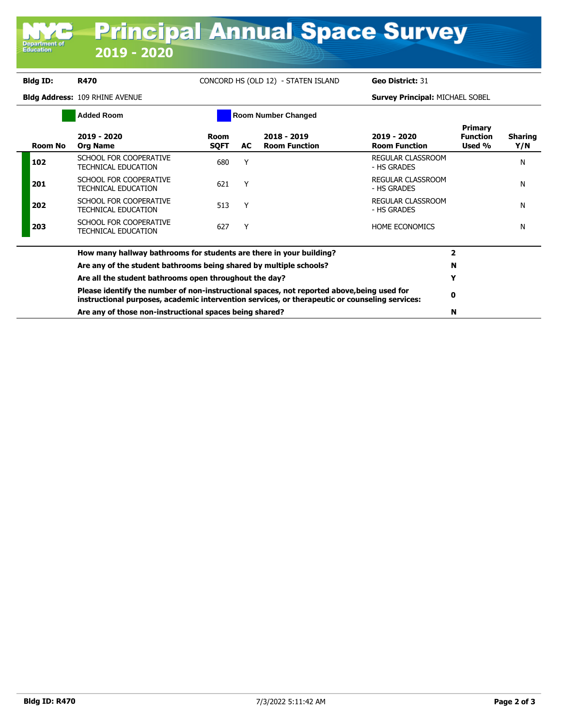### **Bldg ID: R470** CONCORD HS (OLD 12) - STATEN ISLAND **Geo District:** 31 **Bldg Address:** 109 RHINE AVENUE **Survey Principal:** MICHAEL SOBEL **Added Room Room Number Changed Room No 2019 - 2020 Org Name Room SQFT AC 2018 - 2019 Room Function 2019 - 2020 Room Function Primary Function Used % Sharing Y/N <sup>102</sup>** SCHOOL FOR COOPERATIVE SCHOOL FOR COOPERATIVE 680 Y REGULAR CLASSROOM **EGULAR CLASSROOM**<br>- HS GRADES **201** SCHOOL FOR COOPERATIVE SCHOOL FOR COOPLINATIVE 621 Y REGULAR CLASSROOM - HS GRADES NOON N **<sup>202</sup>** SCHOOL FOR COOPERATIVE SCHOOL FOR COOPLERATIVE 513 Y REGULAR CLASSROOM - HS GRADES NOON **<sup>203</sup>** SCHOOL FOR COOPERATIVE SCHOOL FOR COOPERATIVE 627 Y FIND THE BEGONOMICS NUMBER CONOMICS **How many hallway bathrooms for students are there in your building? 2 Are any of the student bathrooms being shared by multiple schools? N Are all the student bathrooms open throughout the day? Y Please identify the number of non-instructional spaces, not reported above,being used for instructional purposes, academic intervention services, or therapeutic or counseling services: <sup>0</sup> Are any of those non-instructional spaces being shared? N**